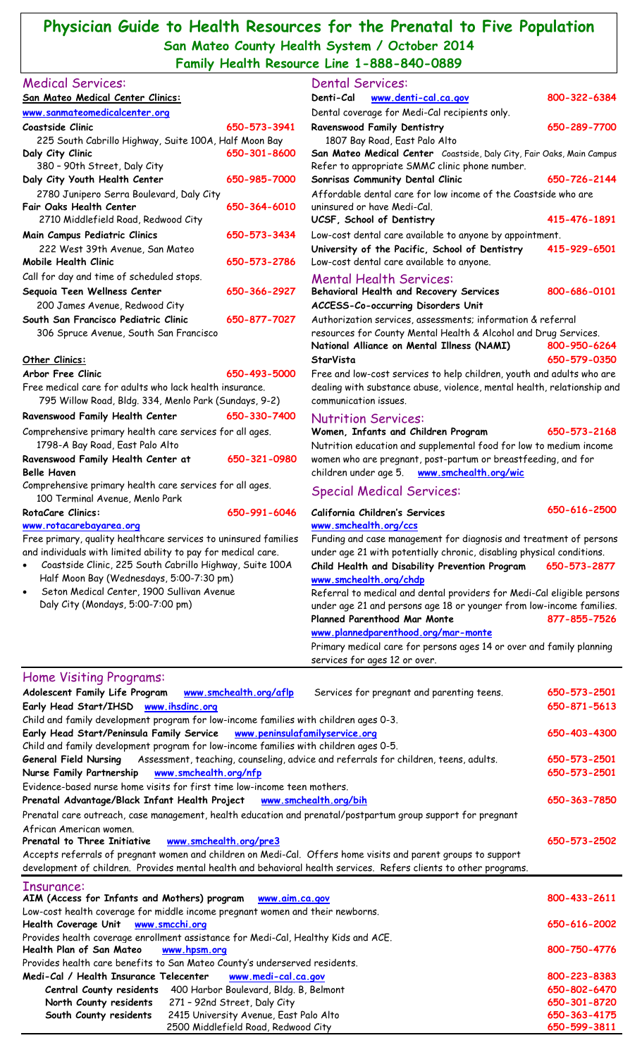## **Physician Guide to Health Resources for the Prenatal to Five Population San Mateo County Health System / October 2014 Family Health Resource Line 1-888-840-0889**

|                                                                                                                           |              | Family Health Resource Line 1-000-040-0007                                                                                                       |              |
|---------------------------------------------------------------------------------------------------------------------------|--------------|--------------------------------------------------------------------------------------------------------------------------------------------------|--------------|
| <b>Medical Services:</b>                                                                                                  |              | <b>Dental Services:</b>                                                                                                                          |              |
| San Mateo Medical Center Clinics:                                                                                         |              | Denti-Cal<br>www.denti-cal.ca.gov                                                                                                                | 800-322-6384 |
| www.sanmateomedicalcenter.org                                                                                             |              | Dental coverage for Medi-Cal recipients only.                                                                                                    |              |
| Coastside Clinic                                                                                                          | 650-573-3941 | Ravenswood Family Dentistry                                                                                                                      | 650-289-7700 |
| 225 South Cabrillo Highway, Suite 100A, Half Moon Bay                                                                     | 650-301-8600 | 1807 Bay Road, East Palo Alto                                                                                                                    |              |
| Daly City Clinic<br>380 - 90th Street, Daly City                                                                          |              | San Mateo Medical Center Coastside, Daly City, Fair Oaks, Main Campus<br>Refer to appropriate SMMC clinic phone number.                          |              |
| Daly City Youth Health Center                                                                                             | 650-985-7000 | Sonrisas Community Dental Clinic                                                                                                                 | 650-726-2144 |
| 2780 Junipero Serra Boulevard, Daly City                                                                                  |              | Affordable dental care for low income of the Coastside who are                                                                                   |              |
| Fair Oaks Health Center<br>650-364-6010                                                                                   |              | uninsured or have Medi-Cal.                                                                                                                      |              |
| 2710 Middlefield Road, Redwood City                                                                                       |              | UCSF, School of Dentistry                                                                                                                        | 415-476-1891 |
| Main Campus Pediatric Clinics                                                                                             | 650-573-3434 | Low-cost dental care available to anyone by appointment.                                                                                         |              |
| 222 West 39th Avenue, San Mateo                                                                                           |              | University of the Pacific, School of Dentistry                                                                                                   | 415-929-6501 |
| Mobile Health Clinic                                                                                                      | 650-573-2786 | Low-cost dental care available to anyone.                                                                                                        |              |
| Call for day and time of scheduled stops.                                                                                 |              | <b>Mental Health Services:</b>                                                                                                                   |              |
| Sequoia Teen Wellness Center                                                                                              | 650-366-2927 | <b>Behavioral Health and Recovery Services</b>                                                                                                   | 800-686-0101 |
| 200 James Avenue, Redwood City                                                                                            |              | ACCESS-Co-occurring Disorders Unit                                                                                                               |              |
| South San Francisco Pediatric Clinic                                                                                      | 650-877-7027 | Authorization services, assessments; information & referral                                                                                      |              |
| 306 Spruce Avenue, South San Francisco                                                                                    |              | resources for County Mental Health & Alcohol and Drug Services.                                                                                  |              |
|                                                                                                                           |              | National Alliance on Mental Illness (NAMI)                                                                                                       | 800-950-6264 |
| Other Clinics:                                                                                                            |              | StarVista                                                                                                                                        | 650-579-0350 |
| Arbor Free Clinic                                                                                                         | 650-493-5000 | Free and low-cost services to help children, youth and adults who are<br>dealing with substance abuse, violence, mental health, relationship and |              |
| Free medical care for adults who lack health insurance.                                                                   |              |                                                                                                                                                  |              |
| 795 Willow Road, Bldg. 334, Menlo Park (Sundays, 9-2)                                                                     |              | communication issues.                                                                                                                            |              |
| Ravenswood Family Health Center                                                                                           | 650-330-7400 | <b>Nutrition Services:</b>                                                                                                                       |              |
| Comprehensive primary health care services for all ages.<br>1798-A Bay Road, East Palo Alto                               |              | Women, Infants and Children Program<br>Nutrition education and supplemental food for low to medium income                                        | 650-573-2168 |
| Ravenswood Family Health Center at<br><b>Belle Haven</b>                                                                  | 650-321-0980 | women who are pregnant, post-partum or breastfeeding, and for<br>children under age 5. www.smchealth.org/wic                                     |              |
| Comprehensive primary health care services for all ages.                                                                  |              |                                                                                                                                                  |              |
| 100 Terminal Avenue, Menlo Park                                                                                           |              | <b>Special Medical Services:</b>                                                                                                                 |              |
| <b>RotaCare Clinics:</b>                                                                                                  | 650-991-6046 | California Children's Services                                                                                                                   | 650-616-2500 |
| www.rotacarebayarea.org                                                                                                   |              | www.smchealth.org/ccs                                                                                                                            |              |
| Free primary, quality healthcare services to uninsured families                                                           |              | Funding and case management for diagnosis and treatment of persons<br>under age 21 with potentially chronic, disabling physical conditions.      |              |
| and individuals with limited ability to pay for medical care.<br>Coastside Clinic, 225 South Cabrillo Highway, Suite 100A |              |                                                                                                                                                  | 650-573-2877 |
| Half Moon Bay (Wednesdays, 5:00-7:30 pm)                                                                                  |              | Child Health and Disability Prevention Program<br>www.smchealth.org/chdp                                                                         |              |
| Seton Medical Center, 1900 Sullivan Avenue                                                                                |              | Referral to medical and dental providers for Medi-Cal eligible persons                                                                           |              |
| Daly City (Mondays, 5:00-7:00 pm)                                                                                         |              | under age 21 and persons age 18 or younger from low-income families.                                                                             |              |
|                                                                                                                           |              | Planned Parenthood Mar Monte                                                                                                                     | 877-855-7526 |
|                                                                                                                           |              | www.plannedparenthood.org/mar-monte                                                                                                              |              |
|                                                                                                                           |              | Primary medical care for persons ages 14 or over and family planning                                                                             |              |
|                                                                                                                           |              |                                                                                                                                                  |              |

| Adolescent Family Life Program www.smchealth.org/aflp<br>Services for pregnant and parenting teens.                  | 650-573-2501                 |
|----------------------------------------------------------------------------------------------------------------------|------------------------------|
| Early Head Start/IHSD www.ihsdinc.org                                                                                | 650-871-5613                 |
| Child and family development program for low-income families with children ages 0-3.                                 |                              |
| Early Head Start/Peninsula Family Service www.peninsulafamilyservice.org                                             | 650-403-4300                 |
| Child and family development program for low-income families with children ages 0-5.                                 |                              |
| General Field Nursing Assessment, teaching, counseling, advice and referrals for children, teens, adults.            | 650-573-2501                 |
| Nurse Family Partnership<br>www.smchealth.org/nfp                                                                    | 650-573-2501                 |
| Evidence-based nurse home visits for first time low-income teen mothers.                                             |                              |
| Prenatal Advantage/Black Infant Health Project www.smchealth.org/bih                                                 | 650-363-7850                 |
| Prenatal care outreach, case management, health education and prenatal/postpartum group support for pregnant         |                              |
| African American women.                                                                                              |                              |
| Prenatal to Three Initiative<br>www.smchealth.org/pre3                                                               | 650-573-2502                 |
| Accepts referrals of pregnant women and children on Medi-Cal. Offers home visits and parent groups to support        |                              |
|                                                                                                                      |                              |
| development of children. Provides mental health and behavioral health services. Refers clients to other programs.    |                              |
|                                                                                                                      |                              |
| Insurance:                                                                                                           | 800-433-2611                 |
| AIM (Access for Infants and Mothers) program www.aim.ca.gov                                                          |                              |
| Low-cost health coverage for middle income pregnant women and their newborns.<br>Health Coverage Unit www.smcchi.org | 650-616-2002                 |
| Provides health coverage enrollment assistance for Medi-Cal, Healthy Kids and ACE.                                   |                              |
| Health Plan of San Mateo<br>www.hpsm.org                                                                             | 800-750-4776                 |
| Provides health care benefits to San Mateo County's underserved residents.                                           |                              |
| Medi-Cal / Health Insurance Telecenter<br>www.medi-cal.ca.gov                                                        | 800-223-8383                 |
| Central County residents 400 Harbor Boulevard, Bldg. B, Belmont                                                      | 650-802-6470                 |
| North County residents 271 - 92nd Street, Daly City                                                                  | 650-301-8720                 |
| 2415 University Avenue, East Palo Alto<br>South County residents<br>2500 Middlefield Road, Redwood City              | 650-363-4175<br>650-599-3811 |